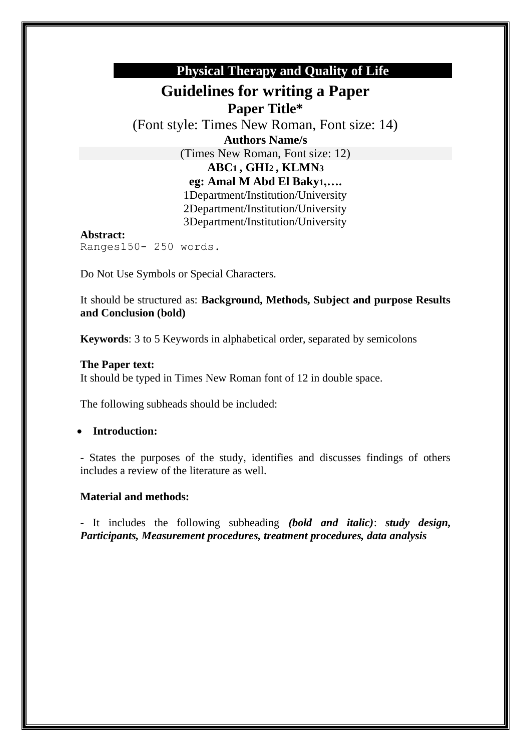# **Physical Therapy and Quality of Life**

# **Guidelines for writing a Paper Paper Title\***

(Font style: Times New Roman, Font size: 14) **Authors Name/s** (Times New Roman, Font size: 12) **ABC1 , GHI2 , KLMN3 eg: Amal M Abd El Baky1,….** 1Department/Institution/University

2Department/Institution/University 3Department/Institution/University

#### **Abstract:** Ranges150- 250 words.

Do Not Use Symbols or Special Characters.

It should be structured as: **Background, Methods, Subject and purpose Results and Conclusion (bold)**

**Keywords**: 3 to 5 Keywords in alphabetical order, separated by semicolons

### **The Paper text:**

It should be typed in Times New Roman font of 12 in double space.

The following subheads should be included:

### • **Introduction:**

- States the purposes of the study, identifies and discusses findings of others includes a review of the literature as well.

### **Material and methods:**

- It includes the following subheading *(bold and italic)*: *study design, Participants, Measurement procedures, treatment procedures, data analysis*